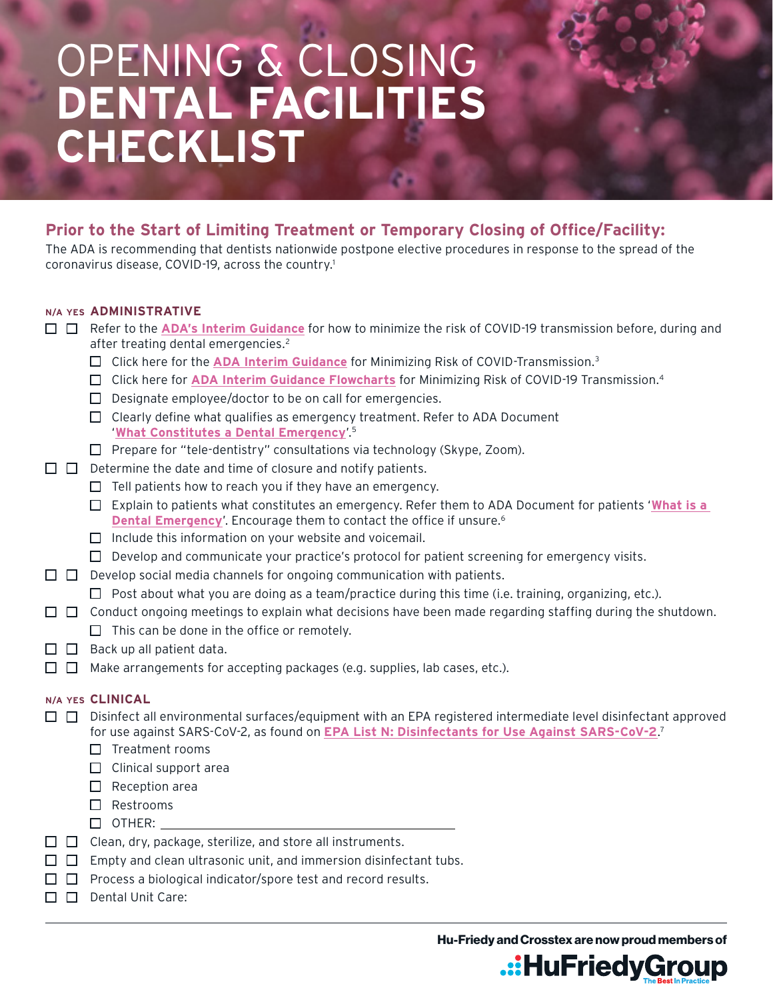# OPENING & CLOSING **DENTAL FACILITIES CHECKLIST**

# **Prior to the Start of Limiting Treatment or Temporary Closing of Office/Facility:**

The ADA is recommending that dentists nationwide postpone elective procedures in response to the spread of the coronavirus disease, COVID-19, across the country.1

# **N/A YES ADMINISTRATIVE**

- Refer to the **[ADA's Interim Guidance](https://bit.ly/2w9nOeT)** for how to minimize the risk of COVID-19 transmission before, during and after treating dental emergencies.<sup>2</sup>
	- □ Click here for the **[ADA Interim Guidance](https://www.ada.org/~/media/CPS/Files/COVID/ADA_COVID_Int_Guidance_Treat_Pts.pdf?utm_source=adaorg&utm_medium=covid-resources-lp&utm_content=cv-pm-ebd-interim-response&utm_campaign=covid-19?utm_source=adaorg&utm_medium=adanews&utm_content=cv-pm-ebd-interim-response&utm_campaign=covid-19))** for Minimizing Risk of COVID-Transmission.<sup>3</sup>
	- Click here for **[ADA Interim Guidance Flowcharts](https://bit.ly/2wXR6xq)** for Minimizing Risk of COVID-19 Transmission.4
	- $\Box$  Designate employee/doctor to be on call for emergencies.
	- $\Box$  Clearly define what qualifies as emergency treatment. Refer to ADA Document '**[What Constitutes a Dental Emergency](https://bit.ly/2yr4wm7)**'.5
	- $\Box$  Prepare for "tele-dentistry" consultations via technology (Skype, Zoom).
- $\Box$   $\Box$  Determine the date and time of closure and notify patients.
	- $\Box$  Tell patients how to reach you if they have an emergency.
	- Explain to patients what constitutes an emergency. Refer them to ADA Document for patients '**[What is a](https://bit.ly/3aBlah9)  [Dental Emergency](https://bit.ly/3aBlah9)'.** Encourage them to contact the office if unsure.<sup>6</sup>
	- $\Box$  Include this information on your website and voicemail.
	- $\Box$  Develop and communicate your practice's protocol for patient screening for emergency visits.
- $\Box$  Develop social media channels for ongoing communication with patients.
	- $\Box$  Post about what you are doing as a team/practice during this time (i.e. training, organizing, etc.).
- $\Box$   $\Box$  Conduct ongoing meetings to explain what decisions have been made regarding staffing during the shutdown.
	- $\Box$  This can be done in the office or remotely.
- $\Box$   $\Box$  Back up all patient data.
- $\Box$  Make arrangements for accepting packages (e.g. supplies, lab cases, etc.).

#### **N/A YES CLINICAL**

- $\Box$   $\Box$  Disinfect all environmental surfaces/equipment with an EPA registered intermediate level disinfectant approved for use against SARS-CoV-2, as found on **[EPA List N: Disinfectants for Use Against SARS-CoV-2](https://www.epa.gov/pesticide-registration/list-n-disinfectants-use-against-sars-cov-2)**. 7
	- $\Box$  Treatment rooms
	- $\Box$  Clinical support area
	- $\Box$  Reception area
	- □ Restrooms
	- $\Box$  OTHER:
- $\Box$   $\Box$  Clean, dry, package, sterilize, and store all instruments.
- $\Box$   $\Box$  Empty and clean ultrasonic unit, and immersion disinfectant tubs.
- $\Box$  Process a biological indicator/spore test and record results.
- $\Pi$  Dental Unit Care:

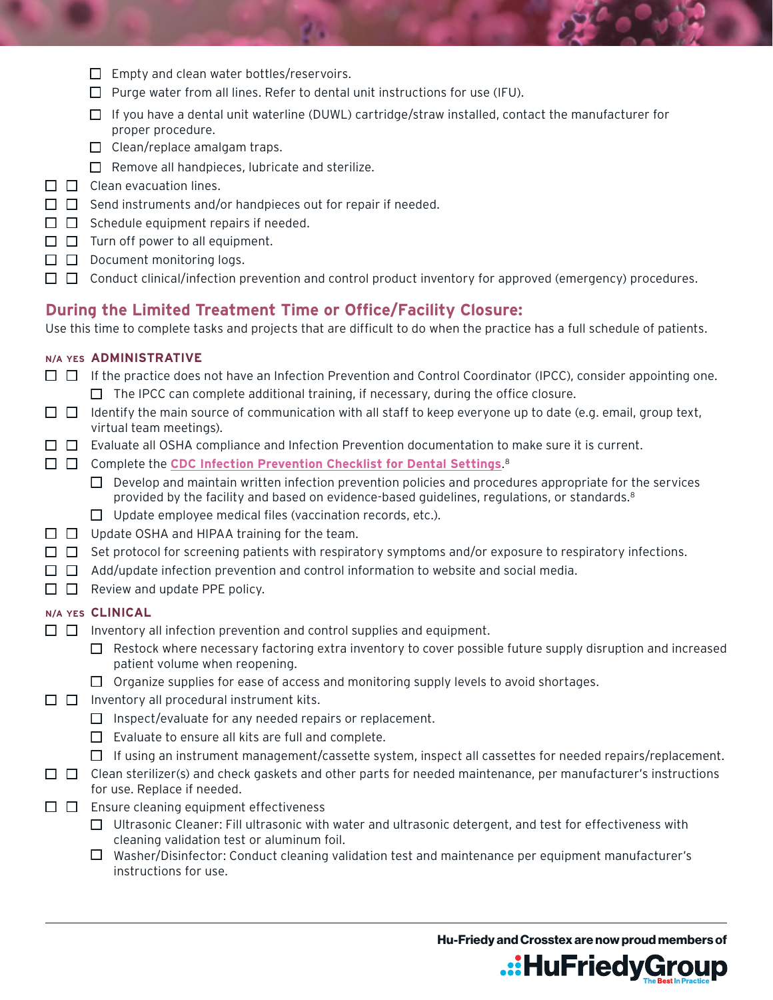- $\Box$  Empty and clean water bottles/reservoirs.
- $\Box$  Purge water from all lines. Refer to dental unit instructions for use (IFU).
- $\Box$  If you have a dental unit waterline (DUWL) cartridge/straw installed, contact the manufacturer for proper procedure.
- $\Box$  Clean/replace amalgam traps.
- $\Box$  Remove all handpieces, lubricate and sterilize.
- $\Box$   $\Box$  Clean evacuation lines.
- $\Box$   $\Box$  Send instruments and/or handpieces out for repair if needed.
- $\Box$   $\Box$  Schedule equipment repairs if needed.
- $\Box$   $\Box$  Turn off power to all equipment.
- $\Box$   $\Box$  Document monitoring logs.
- $\Box$   $\Box$  Conduct clinical/infection prevention and control product inventory for approved (emergency) procedures.

# **During the Limited Treatment Time or Office/Facility Closure:**

Use this time to complete tasks and projects that are difficult to do when the practice has a full schedule of patients.

#### **N/A YES ADMINISTRATIVE**

- $\Box$  If the practice does not have an Infection Prevention and Control Coordinator (IPCC), consider appointing one.  $\Box$  The IPCC can complete additional training, if necessary, during the office closure.
- $\Box$  Identify the main source of communication with all staff to keep everyone up to date (e.g. email, group text, virtual team meetings).
- $\Box$   $\Box$  Evaluate all OSHA compliance and Infection Prevention documentation to make sure it is current.
- Complete the **[CDC Infection Prevention Checklist for Dental Settings](https://www.cdc.gov/oralhealth/infectioncontrol/pdf/safe-care-checklist.pdf)**. 8
	- $\Box$  Develop and maintain written infection prevention policies and procedures appropriate for the services provided by the facility and based on evidence-based guidelines, regulations, or standards.<sup>8</sup>
	- $\Box$  Update employee medical files (vaccination records, etc.).
- $\Box$   $\Box$  Update OSHA and HIPAA training for the team.
- $\Box$  Set protocol for screening patients with respiratory symptoms and/or exposure to respiratory infections.
- $\Box$  Add/update infection prevention and control information to website and social media.
- $\Box$   $\Box$  Review and update PPE policy.

#### **N/A YES CLINICAL**

- $\Box$  Inventory all infection prevention and control supplies and equipment.
	- $\Box$  Restock where necessary factoring extra inventory to cover possible future supply disruption and increased patient volume when reopening.
	- $\Box$  Organize supplies for ease of access and monitoring supply levels to avoid shortages.
- $\Box$  Inventory all procedural instrument kits.
	- $\Box$  Inspect/evaluate for any needed repairs or replacement.
	- $\Box$  Evaluate to ensure all kits are full and complete.
	- $\Box$  If using an instrument management/cassette system, inspect all cassettes for needed repairs/replacement.
- $\Box$   $\Box$  Clean sterilizer(s) and check gaskets and other parts for needed maintenance, per manufacturer's instructions for use. Replace if needed.
- $\Box$   $\Box$  Ensure cleaning equipment effectiveness
	- $\Box$  Ultrasonic Cleaner: Fill ultrasonic with water and ultrasonic detergent, and test for effectiveness with cleaning validation test or aluminum foil.
	- $\Box$  Washer/Disinfector: Conduct cleaning validation test and maintenance per equipment manufacturer's instructions for use.

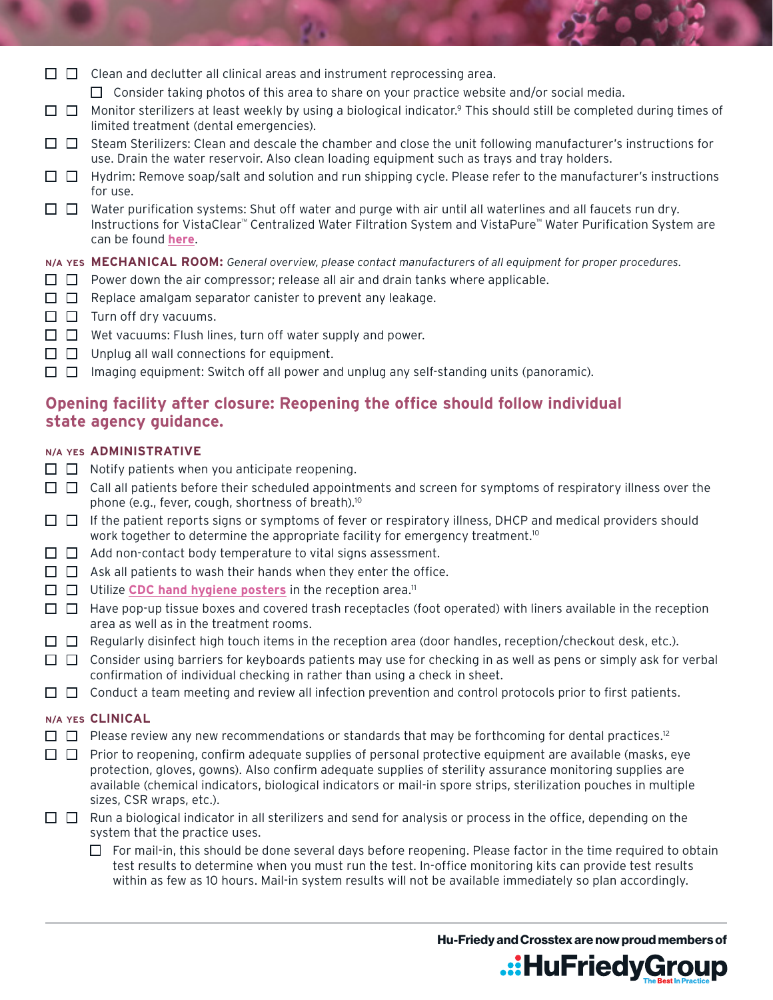|  | $\Box$ Clean and declutter all clinical areas and instrument reprocessing area. |  |  |
|--|---------------------------------------------------------------------------------|--|--|
|  |                                                                                 |  |  |

- $\Box$  Consider taking photos of this area to share on your practice website and/or social media.
- $\Box$  Monitor sterilizers at least weekly by using a biological indicator.<sup>9</sup> This should still be completed during times of limited treatment (dental emergencies).
- $\Box$   $\Box$  Steam Sterilizers: Clean and descale the chamber and close the unit following manufacturer's instructions for use. Drain the water reservoir. Also clean loading equipment such as trays and tray holders.
- $\Box$  Hydrim: Remove soap/salt and solution and run shipping cycle. Please refer to the manufacturer's instructions for use.
- $\Box$  Water purification systems: Shut off water and purge with air until all waterlines and all faucets run dry. Instructions for VistaClear™ Centralized Water Filtration System and VistaPure™ Water Purification System are can be found **[here](https://support.vistaresearchgroup.com/hc/en-us/articles/360045566453-
Office-Closure-Re-opening-Protocols)**.

## **N/A YES MECHANICAL ROOM:** *General overview, please contact manufacturers of all equipment for proper procedures.*

- $\Box$  Power down the air compressor; release all air and drain tanks where applicable.
- $\Box$  Replace amalgam separator canister to prevent any leakage.
- $\Box$   $\Box$  Turn off dry vacuums.
- $\Box$   $\Box$  Wet vacuums: Flush lines, turn off water supply and power.
- $\Box$   $\Box$  Unplug all wall connections for equipment.
- $\Box$  Imaging equipment: Switch off all power and unplug any self-standing units (panoramic).

# **Opening facility after closure: Reopening the office should follow individual state agency guidance.**

# **N/A YES ADMINISTRATIVE**

- $\Box$  Notify patients when you anticipate reopening.
- $\Box$   $\Box$  Call all patients before their scheduled appointments and screen for symptoms of respiratory illness over the phone (e.g., fever, cough, shortness of breath).10
- $\Box$  If the patient reports signs or symptoms of fever or respiratory illness, DHCP and medical providers should work together to determine the appropriate facility for emergency treatment.<sup>10</sup>
- $\Box$   $\Box$  Add non-contact body temperature to vital signs assessment.
- $\Box$   $\Box$  Ask all patients to wash their hands when they enter the office.
- $\Box$   $\Box$  Utilize **[CDC hand hygiene posters](https://www.cdc.gov/handwashing/pdf/wash-your-hands-fact-sheet-508.pdf)** in the reception area.<sup>11</sup>
- $\Box$  Have pop-up tissue boxes and covered trash receptacles (foot operated) with liners available in the reception area as well as in the treatment rooms.
- $\Box$  Regularly disinfect high touch items in the reception area (door handles, reception/checkout desk, etc.).
- $\Box$   $\Box$  Consider using barriers for keyboards patients may use for checking in as well as pens or simply ask for verbal confirmation of individual checking in rather than using a check in sheet.
- $\Box$   $\Box$  Conduct a team meeting and review all infection prevention and control protocols prior to first patients.

# **N/A YES CLINICAL**

- $\Box$  Please review any new recommendations or standards that may be forthcoming for dental practices.<sup>12</sup>
- $\Box$  Prior to reopening, confirm adequate supplies of personal protective equipment are available (masks, eye protection, gloves, gowns). Also confirm adequate supplies of sterility assurance monitoring supplies are available (chemical indicators, biological indicators or mail-in spore strips, sterilization pouches in multiple sizes, CSR wraps, etc.).
- $\Box$  Run a biological indicator in all sterilizers and send for analysis or process in the office, depending on the system that the practice uses.
	- $\Box$  For mail-in, this should be done several days before reopening. Please factor in the time required to obtain test results to determine when you must run the test. In-office monitoring kits can provide test results within as few as 10 hours. Mail-in system results will not be available immediately so plan accordingly.

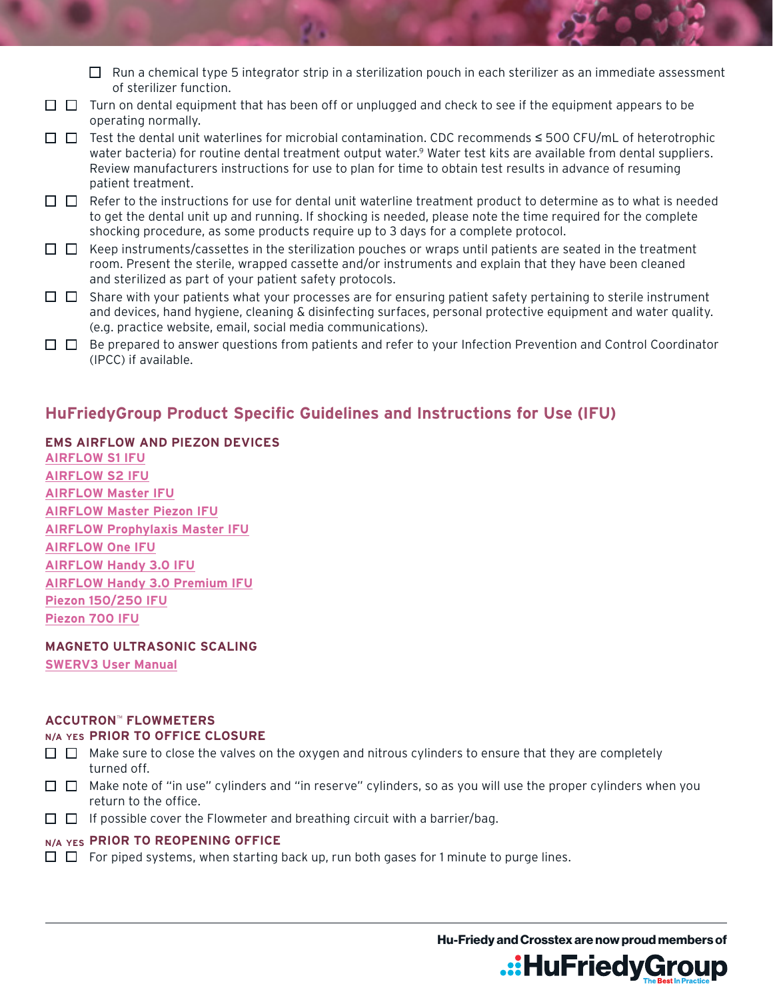- $\Box$  Run a chemical type 5 integrator strip in a sterilization pouch in each sterilizer as an immediate assessment of sterilizer function.
- $\Box$   $\Box$  Turn on dental equipment that has been off or unplugged and check to see if the equipment appears to be operating normally.
- Test the dental unit waterlines for microbial contamination. CDC recommends ≤ 500 CFU/mL of heterotrophic water bacteria) for routine dental treatment output water.<sup>9</sup> Water test kits are available from dental suppliers. Review manufacturers instructions for use to plan for time to obtain test results in advance of resuming patient treatment.
- $\Box$  Refer to the instructions for use for dental unit waterline treatment product to determine as to what is needed to get the dental unit up and running. If shocking is needed, please note the time required for the complete shocking procedure, as some products require up to 3 days for a complete protocol.
- $\Box$  Keep instruments/cassettes in the sterilization pouches or wraps until patients are seated in the treatment room. Present the sterile, wrapped cassette and/or instruments and explain that they have been cleaned and sterilized as part of your patient safety protocols.
- $\Box$   $\Box$  Share with your patients what your processes are for ensuring patient safety pertaining to sterile instrument and devices, hand hygiene, cleaning & disinfecting surfaces, personal protective equipment and water quality. (e.g. practice website, email, social media communications).
- $\Box$  Be prepared to answer questions from patients and refer to your Infection Prevention and Control Coordinator (IPCC) if available.

# **HuFriedyGroup Product Specific Guidelines and Instructions for Use (IFU)**

**EMS AIRFLOW AND PIEZON DEVICES [AIRFLOW S1 IFU](http://www.hu-friedy.com/sites/default/files/2018-06/FB-303_AFS1_IFU.PDF) [AIRFLOW S2 IFU](http://www.hu-friedy.com/sites/default/files/2018-06/FB-305_AFS2_IFU.PDF) [AIRFLOW Master IFU](http://www.hu-friedy.com/sites/default/files/2018-06/FB-580_AIR-FLOW%20MASTER_IFU.PDF) [AIRFLOW Master Piezon IFU](http://www.hu-friedy.com/sites/default/files/2018-06/FB-581_US%20AFMP%20IFU.PDF) [AIRFLOW Prophylaxis Master IFU](http://www.hu-friedy.com/sites/default/files/2019-12/IFU_airflow%20prophylaxis%20master.pdf) [AIRFLOW One](http://www.hu-friedy.com/sites/default/files/2019-12/IFU_airflow%20one.pdf) IFU [AIRFLOW Handy 3.0 IFU](http://www.hu-friedy.com/sites/default/files/2018-06/FB-568_US%20Handy%203%20IFU.PDF) [AIRFLOW Handy 3.0 Premium IFU](http://www.hu-friedy.com/sites/default/files/2018-06/FB-543_HS_Handy%203%20Perio%20%26%20Handy%203%20PLUS.pdf) [Piezon 150/250 IFU](http://www.hu-friedy.com/sites/default/files/2018-06/FB-569_US%20PIEZON%20150_250%20IFU.PDF) [Piezon 700 IFU](http://www.hu-friedy.com/sites/default/files/2018-06/FB-430_PM-700_IFU.pdf)**

#### **MAGNETO ULTRASONIC SCALING**

**[SWERV3 User Manual](http://www.hu-friedy.com/sites/default/files/UMMANUAL3_SWERV3_Manual_0513_MC.pdf)**

#### **ACCUTRON**™ **FLOWMETERS**

#### **N/A YES PRIOR TO OFFICE CLOSURE**

- $\Box$  Make sure to close the valves on the oxygen and nitrous cylinders to ensure that they are completely turned off.
- $\Box$  Make note of "in use" cylinders and "in reserve" cylinders, so as you will use the proper cylinders when you return to the office.
- $\Box$  If possible cover the Flowmeter and breathing circuit with a barrier/bag.

#### **N/A YES PRIOR TO REOPENING OFFICE**

 $\Box$   $\Box$  For piped systems, when starting back up, run both gases for 1 minute to purge lines.

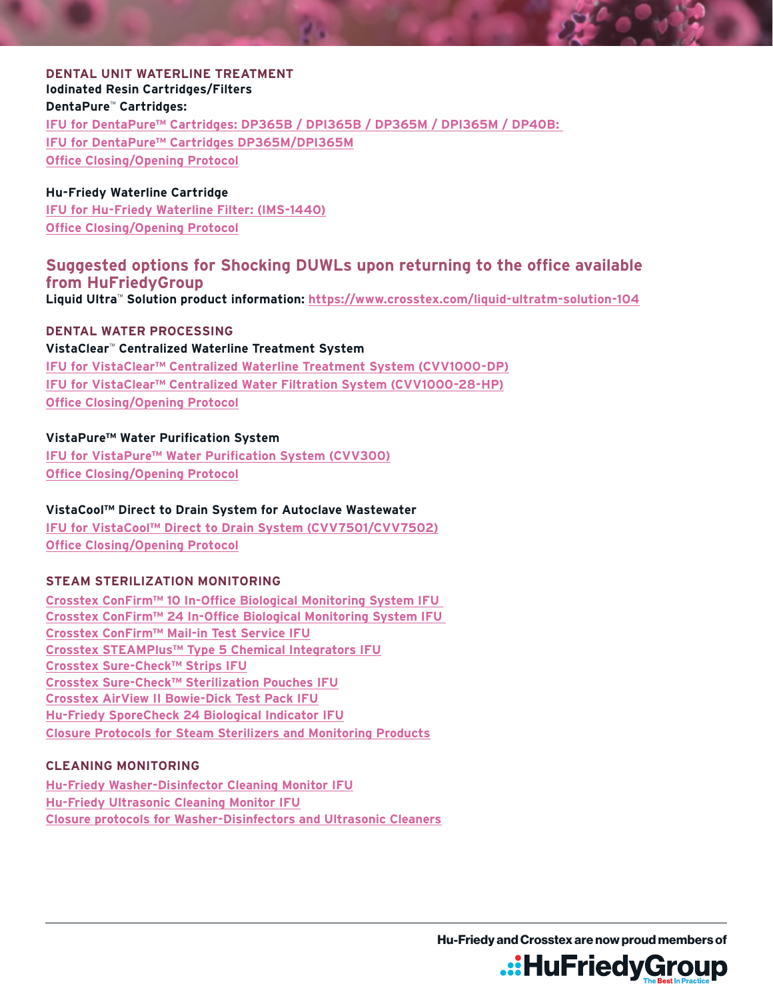## **DENTAL UNIT WATERLINE TREATMENT Iodinated Resin Cartridges/Filters DentaPure**™ **Cartridges:**

**[IFU for DentaPure™ Cartridges: DP365B / DPI365B / DP365M / DPI365M / DP40B:](https://www.crosstex.com/dentapuretm-dp365b-independent-water-bottle-cartridge-97) [IFU for DentaPure™ Cartridges DP365M/DPI365M](https://www.crosstex.com/dentapuretm-dp365m-municipal-water-cartridge-99) [Office Closing/Opening Protocol](https://www.crosstex.com/sites/default/files/public/dlit01507_rev_b_0320_dentapure_closure_protocols_no_highlights_1.pdf)**

## **Hu-Friedy Waterline Cartridge**

**IFU for [Hu-Friedy Waterline Filter: \(IMS-1440](https://www.hu-friedy.com/infection-prevention/dental-unit-waterline-cleaner/hu-friedy-waterline-filter)) [Office Closing/Opening Protoco](https://www.hu-friedy.com/sites/default/files/2020-03/980_HFL-409_Waterline_Closure_Reopening_2003_0.pdf)l**

# **Suggested options for Shocking DUWLs upon returning to the office available from HuFriedyGroup**

**Liquid Ultra**™ **Solution product information:<https://www.crosstex.com/liquid-ultratm-solution-104>**

**DENTAL WATER PROCESSING**

#### **VistaClear**™ **Centralized Waterline Treatment System**

**[IFU for VistaClear™ Centralized Waterline Treatment System \(CVV1000-DP\)](http://vrg.support/docs/VistaClear-DP_VM1069_Rev-A.pdf) [IFU for VistaClear™ Centralized Water Filtration System \(CVV1000-28-HP\)](http://vrg.support/docs/180618-VistaClear-IGOM.pdf) [Office Closing/Opening Protocol](https://support.vistaresearchgroup.com/hc/en-us/articles/360045566453-Office-Closure-Re-opening-Protocols)**

## **VistaPure™ Water Purification System**

**[IFU for VistaPure™ Water Purification System \(CVV300\)](http://vrg.support/docs/180401-VistaPure-IGOM.pdf) [Office Closing/Opening Protocol](https://support.vistaresearchgroup.com/hc/en-us/articles/360045565893-Office-Closure-Re-opening-Protocols)**

# **VistaCool™ Direct to Drain System for Autoclave Wastewater**

**IFU for VistaCool™ Direct to Drain System [\(CVV7501/CVV7502\)](http://vrg.support/docs/190716-VistaCool-IGOM.pdf) [Office Closing/Opening Protoco](https://support.vistaresearchgroup.com/hc/en-us/articles/360045566973-Office-Closure-Re-opening-Protocol)l**

# **STEAM STERILIZATION MONITORING**

**[Crosstex ConFirm™ 10 In-Office Biological Monitoring System IFU](https://www.crosstex.com/sites/default/files/public/educational-resources/technical-specifications/c10bi25_cofa_insert_rev_2.pdf)  [Crosstex ConFirm™ 24 In-Office Biological Monitoring System IFU](https://www.crosstex.com/sites/default/files/public/educational-resources/technical-specifications/csbi25_cofa_insert_rev_2_for_web.pdf)  [Crosstex ConFirm™ Mail-in Test Service IFU](https://www.crosstex.com/sites/default/files/public/educational-resources/technical-specifications/confirm_ct-ifu.pdf) [Crosstex STEAMPlus™ Type 5 Chemical Integrators IFU](https://www.crosstex.com/sites/default/files/public/steamplusclass5integratortechbulletinssi100.pdf) [Crosstex Sure-Check™ Strips IFU](https://www.crosstex.com/sites/default/files/public/educational-resources/technical-specifications/sure-checktm_strips_ifu_sck-bgi_rev_1.pdf) [Crosstex Sure-Check™ Sterilization Pouches IFU](https://www.crosstex.com/sites/default/files/public/educational-resources/technical-specifications/surecheck_pouches_ifu.pdf) [Crosstex AirView II Bowie-Dick Test Pack IFU](https://www.crosstex.com/sites/default/files/public/educational-resources/technical-specifications/airview_packet.pdf) [Hu-Friedy SporeCheck 24 Biological Indicator IFU](https://www.crosstex.com/sites/default/files/public/educational-resources/technical-specifications/airview_packet.pdf) [Closure Protocols for Steam Sterilizers and Monitoring Products](http://www.hu-friedy.com/sites/default/files/2020-04/DLIT01520%20Rev%20A%200420_Closure%20protocols_steam%20sterilizers%20and%20monitoring%20products_v10.pdf)**

# **CLEANING MONITORING**

**[Hu-Friedy Washer-Disinfector Cleaning Monitor IFU](https://www.hu-friedy.com/sites/default/files/N1558_Washer%20Cleaning%20Monitor_IFU_IMS-1200W_0915.pdf) [Hu-Friedy Ultrasonic Cleaning Monitor IFU](https://www.hu-friedy.com/sites/default/files/N1556_Ultrasonic%20Cleaning%20Monitor_IFU_IMS-1200U_0915.pdf) [Closure protocols for Washer-Disinfectors and Ultrasonic Cleaners](http://www.hu-friedy.com/sites/default/files/2020-04/DLIT01521%20Rev%20A%200420_Closure%20protocols_washer%20disinfectors%20ultrasonic%20cleaners_v7.pdf)**